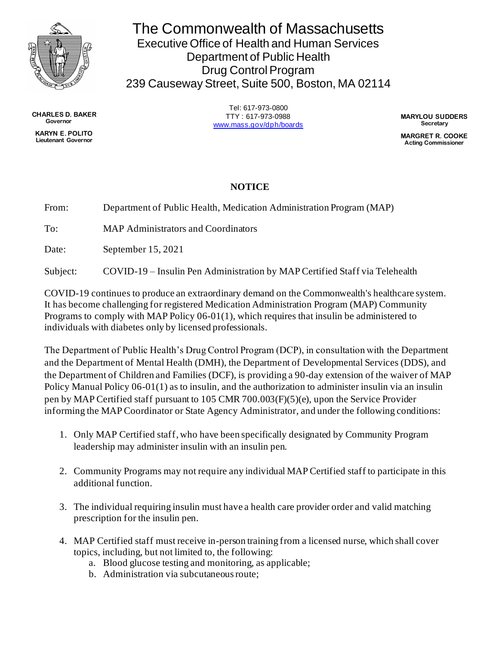

The Commonwealth of Massachusetts Executive Office of Health and Human Services Department of Public Health Drug Control Program 239 Causeway Street, Suite 500, Boston, MA 02114

> Tel: 617-973-0800 TTY : 617-973-0988 [www.mass.gov/dph/boards](http://www.mass.gov/dph/boards)

**MARYLOU SUDDERS Secretary**

**MARGRET R. COOKE Acting Commissioner**

## **NOTICE**

From: Department of Public Health, Medication Administration Program (MAP)

To: MAP Administrators and Coordinators

Date: September 15, 2021

Subject: COVID-19 – Insulin Pen Administration by MAP Certified Staff via Telehealth

COVID-19 continues to produce an extraordinary demand on the Commonwealth's healthcare system. It has become challenging for registered Medication Administration Program (MAP) Community Programs to comply with MAP Policy 06-01(1), which requires that insulin be administered to individuals with diabetes only by licensed professionals.

The Department of Public Health's Drug Control Program (DCP), in consultation with the Department and the Department of Mental Health (DMH), the Department of Developmental Services (DDS), and the Department of Children and Families (DCF), is providing a 90-day extension of the waiver of MAP Policy Manual Policy 06-01(1) as to insulin, and the authorization to administer insulin via an insulin pen by MAP Certified staff pursuant to 105 CMR 700.003(F)(5)(e), upon the Service Provider informing the MAP Coordinator or State Agency Administrator, and under the following conditions:

- 1. Only MAP Certified staff, who have been specifically designated by Community Program leadership may administer insulin with an insulin pen.
- 2. Community Programs may not require any individual MAP Certified staff to participate in this additional function.
- 3. The individual requiring insulin must have a health care provider order and valid matching prescription for the insulin pen.
- 4. MAP Certified staff must receive in-person training from a licensed nurse, which shall cover topics, including, but not limited to, the following:
	- a. Blood glucose testing and monitoring, as applicable;
	- b. Administration via subcutaneous route;

**CHARLES D. BAKER Governor KARYN E. POLITO Lieutenant Governor**